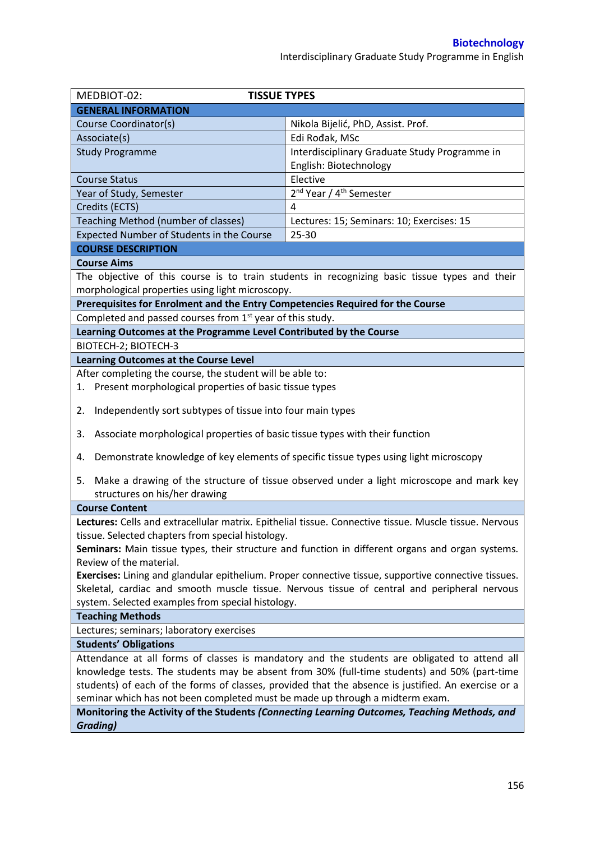Interdisciplinary Graduate Study Programme in English

| MEDBIOT-02:<br><b>TISSUE TYPES</b>                                                                   |                                                                                                        |  |  |  |
|------------------------------------------------------------------------------------------------------|--------------------------------------------------------------------------------------------------------|--|--|--|
| <b>GENERAL INFORMATION</b>                                                                           |                                                                                                        |  |  |  |
| Course Coordinator(s)                                                                                | Nikola Bijelić, PhD, Assist. Prof.                                                                     |  |  |  |
| Associate(s)                                                                                         | Edi Rođak, MSc                                                                                         |  |  |  |
| <b>Study Programme</b>                                                                               | Interdisciplinary Graduate Study Programme in                                                          |  |  |  |
|                                                                                                      | English: Biotechnology                                                                                 |  |  |  |
| <b>Course Status</b>                                                                                 | Elective                                                                                               |  |  |  |
| Year of Study, Semester                                                                              | 2 <sup>nd</sup> Year / 4 <sup>th</sup> Semester                                                        |  |  |  |
| Credits (ECTS)                                                                                       | 4                                                                                                      |  |  |  |
| Teaching Method (number of classes)                                                                  | Lectures: 15; Seminars: 10; Exercises: 15                                                              |  |  |  |
| Expected Number of Students in the Course                                                            | 25-30                                                                                                  |  |  |  |
| <b>COURSE DESCRIPTION</b>                                                                            |                                                                                                        |  |  |  |
| <b>Course Aims</b>                                                                                   |                                                                                                        |  |  |  |
|                                                                                                      | The objective of this course is to train students in recognizing basic tissue types and their          |  |  |  |
| morphological properties using light microscopy.                                                     |                                                                                                        |  |  |  |
| Prerequisites for Enrolment and the Entry Competencies Required for the Course                       |                                                                                                        |  |  |  |
| Completed and passed courses from 1 <sup>st</sup> year of this study.                                |                                                                                                        |  |  |  |
| Learning Outcomes at the Programme Level Contributed by the Course                                   |                                                                                                        |  |  |  |
| <b>BIOTECH-2; BIOTECH-3</b>                                                                          |                                                                                                        |  |  |  |
| <b>Learning Outcomes at the Course Level</b>                                                         |                                                                                                        |  |  |  |
| After completing the course, the student will be able to:                                            |                                                                                                        |  |  |  |
| 1. Present morphological properties of basic tissue types                                            |                                                                                                        |  |  |  |
|                                                                                                      |                                                                                                        |  |  |  |
| Independently sort subtypes of tissue into four main types<br>2.                                     |                                                                                                        |  |  |  |
| Associate morphological properties of basic tissue types with their function<br>3.                   |                                                                                                        |  |  |  |
| 4.                                                                                                   | Demonstrate knowledge of key elements of specific tissue types using light microscopy                  |  |  |  |
| 5.                                                                                                   | Make a drawing of the structure of tissue observed under a light microscope and mark key               |  |  |  |
| structures on his/her drawing                                                                        |                                                                                                        |  |  |  |
| <b>Course Content</b>                                                                                |                                                                                                        |  |  |  |
|                                                                                                      | Lectures: Cells and extracellular matrix. Epithelial tissue. Connective tissue. Muscle tissue. Nervous |  |  |  |
| tissue. Selected chapters from special histology.                                                    |                                                                                                        |  |  |  |
|                                                                                                      | Seminars: Main tissue types, their structure and function in different organs and organ systems.       |  |  |  |
| Review of the material.                                                                              |                                                                                                        |  |  |  |
| Exercises: Lining and glandular epithelium. Proper connective tissue, supportive connective tissues. |                                                                                                        |  |  |  |
|                                                                                                      | Skeletal, cardiac and smooth muscle tissue. Nervous tissue of central and peripheral nervous           |  |  |  |
| system. Selected examples from special histology.                                                    |                                                                                                        |  |  |  |
| <b>Teaching Methods</b>                                                                              |                                                                                                        |  |  |  |
| Lectures; seminars; laboratory exercises                                                             |                                                                                                        |  |  |  |
| <b>Students' Obligations</b>                                                                         |                                                                                                        |  |  |  |
| Attendance at all forms of classes is mandatory and the students are obligated to attend all         |                                                                                                        |  |  |  |
| knowledge tests. The students may be absent from 30% (full-time students) and 50% (part-time         |                                                                                                        |  |  |  |
| students) of each of the forms of classes, provided that the absence is justified. An exercise or a  |                                                                                                        |  |  |  |
| seminar which has not been completed must be made up through a midterm exam.                         |                                                                                                        |  |  |  |
| Monitoring the Activity of the Students (Connecting Learning Outcomes, Teaching Methods, and         |                                                                                                        |  |  |  |
| <b>Grading)</b>                                                                                      |                                                                                                        |  |  |  |